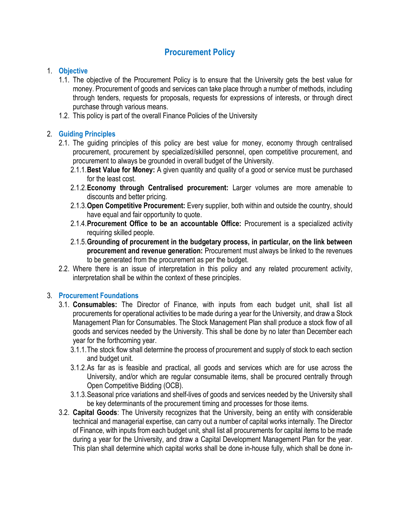# Procurement Policy

#### 1. Objective

- 1.1. The objective of the Procurement Policy is to ensure that the University gets the best value for money. Procurement of goods and services can take place through a number of methods, including through tenders, requests for proposals, requests for expressions of interests, or through direct purchase through various means.
- 1.2. This policy is part of the overall Finance Policies of the University

## 2. Guiding Principles

- 2.1. The guiding principles of this policy are best value for money, economy through centralised procurement, procurement by specialized/skilled personnel, open competitive procurement, and procurement to always be grounded in overall budget of the University.
	- 2.1.1. Best Value for Money: A given quantity and quality of a good or service must be purchased for the least cost.
	- 2.1.2. Economy through Centralised procurement: Larger volumes are more amenable to discounts and better pricing.
	- 2.1.3. Open Competitive Procurement: Every supplier, both within and outside the country, should have equal and fair opportunity to quote.
	- 2.1.4. Procurement Office to be an accountable Office: Procurement is a specialized activity requiring skilled people.
	- 2.1.5.Grounding of procurement in the budgetary process, in particular, on the link between procurement and revenue generation: Procurement must always be linked to the revenues to be generated from the procurement as per the budget.
- 2.2. Where there is an issue of interpretation in this policy and any related procurement activity, interpretation shall be within the context of these principles.

#### 3. Procurement Foundations

- 3.1. Consumables: The Director of Finance, with inputs from each budget unit, shall list all procurements for operational activities to be made during a year for the University, and draw a Stock Management Plan for Consumables. The Stock Management Plan shall produce a stock flow of all goods and services needed by the University. This shall be done by no later than December each year for the forthcoming year.
	- 3.1.1.The stock flow shall determine the process of procurement and supply of stock to each section and budget unit.
	- 3.1.2.As far as is feasible and practical, all goods and services which are for use across the University, and/or which are regular consumable items, shall be procured centrally through Open Competitive Bidding (OCB).
	- 3.1.3.Seasonal price variations and shelf-lives of goods and services needed by the University shall be key determinants of the procurement timing and processes for those items.
- 3.2. Capital Goods: The University recognizes that the University, being an entity with considerable technical and managerial expertise, can carry out a number of capital works internally. The Director of Finance, with inputs from each budget unit, shall list all procurements for capital items to be made during a year for the University, and draw a Capital Development Management Plan for the year. This plan shall determine which capital works shall be done in-house fully, which shall be done in-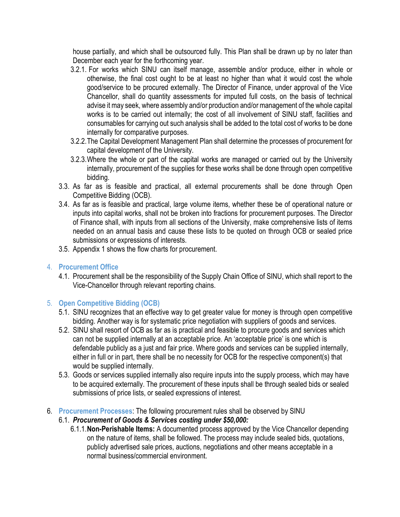house partially, and which shall be outsourced fully. This Plan shall be drawn up by no later than December each year for the forthcoming year.

- 3.2.1. For works which SINU can itself manage, assemble and/or produce, either in whole or otherwise, the final cost ought to be at least no higher than what it would cost the whole good/service to be procured externally. The Director of Finance, under approval of the Vice Chancellor, shall do quantity assessments for imputed full costs, on the basis of technical advise it may seek, where assembly and/or production and/or management of the whole capital works is to be carried out internally; the cost of all involvement of SINU staff, facilities and consumables for carrying out such analysis shall be added to the total cost of works to be done internally for comparative purposes.
- 3.2.2.The Capital Development Management Plan shall determine the processes of procurement for capital development of the University.
- 3.2.3.Where the whole or part of the capital works are managed or carried out by the University internally, procurement of the supplies for these works shall be done through open competitive bidding.
- 3.3. As far as is feasible and practical, all external procurements shall be done through Open Competitive Bidding (OCB).
- 3.4. As far as is feasible and practical, large volume items, whether these be of operational nature or inputs into capital works, shall not be broken into fractions for procurement purposes. The Director of Finance shall, with inputs from all sections of the University, make comprehensive lists of items needed on an annual basis and cause these lists to be quoted on through OCB or sealed price submissions or expressions of interests.
- 3.5. Appendix 1 shows the flow charts for procurement.

#### 4. Procurement Office

4.1. Procurement shall be the responsibility of the Supply Chain Office of SINU, which shall report to the Vice-Chancellor through relevant reporting chains.

## 5. Open Competitive Bidding (OCB)

- 5.1. SINU recognizes that an effective way to get greater value for money is through open competitive bidding. Another way is for systematic price negotiation with suppliers of goods and services.
- 5.2. SINU shall resort of OCB as far as is practical and feasible to procure goods and services which can not be supplied internally at an acceptable price. An 'acceptable price' is one which is defendable publicly as a just and fair price. Where goods and services can be supplied internally, either in full or in part, there shall be no necessity for OCB for the respective component(s) that would be supplied internally.
- 5.3. Goods or services supplied internally also require inputs into the supply process, which may have to be acquired externally. The procurement of these inputs shall be through sealed bids or sealed submissions of price lists, or sealed expressions of interest.
- 6. Procurement Processes: The following procurement rules shall be observed by SINU
	- 6.1. Procurement of Goods & Services costing under \$50,000:
		- 6.1.1.Non-Perishable Items: A documented process approved by the Vice Chancellor depending on the nature of items, shall be followed. The process may include sealed bids, quotations, publicly advertised sale prices, auctions, negotiations and other means acceptable in a normal business/commercial environment.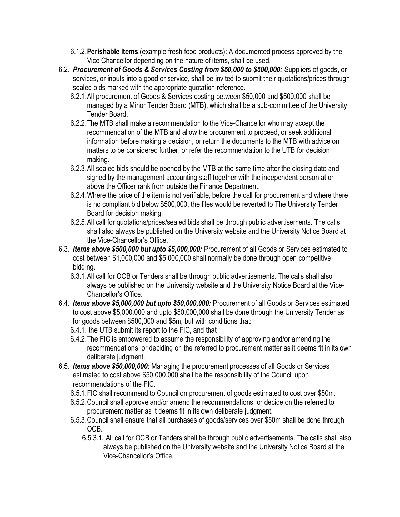- 6.1.2.Perishable Items (example fresh food products): A documented process approved by the Vice Chancellor depending on the nature of items, shall be used.
- 6.2. Procurement of Goods & Services Costing from \$50,000 to \$500,000: Suppliers of goods, or services, or inputs into a good or service, shall be invited to submit their quotations/prices through sealed bids marked with the appropriate quotation reference.
	- 6.2.1.All procurement of Goods & Services costing between \$50,000 and \$500,000 shall be managed by a Minor Tender Board (MTB), which shall be a sub-committee of the University Tender Board.
	- 6.2.2.The MTB shall make a recommendation to the Vice-Chancellor who may accept the recommendation of the MTB and allow the procurement to proceed, or seek additional information before making a decision, or return the documents to the MTB with advice on matters to be considered further, or refer the recommendation to the UTB for decision making.
	- 6.2.3.All sealed bids should be opened by the MTB at the same time after the closing date and signed by the management accounting staff together with the independent person at or above the Officer rank from outside the Finance Department.
	- 6.2.4.Where the price of the item is not verifiable, before the call for procurement and where there is no compliant bid below \$500,000, the files would be reverted to The University Tender Board for decision making.
	- 6.2.5.All call for quotations/prices/sealed bids shall be through public advertisements. The calls shall also always be published on the University website and the University Notice Board at the Vice-Chancellor's Office.
- 6.3. Items above \$500,000 but upto \$5,000,000: Procurement of all Goods or Services estimated to cost between \$1,000,000 and \$5,000,000 shall normally be done through open competitive bidding.
	- 6.3.1.All call for OCB or Tenders shall be through public advertisements. The calls shall also always be published on the University website and the University Notice Board at the Vice-Chancellor's Office.
- 6.4. Items above \$5,000,000 but upto \$50,000,000: Procurement of all Goods or Services estimated to cost above \$5,000,000 and upto \$50,000,000 shall be done through the University Tender as for goods between \$500,000 and \$5m, but with conditions that:
	- 6.4.1. the UTB submit its report to the FIC, and that
	- 6.4.2.The FIC is empowered to assume the responsibility of approving and/or amending the recommendations, or deciding on the referred to procurement matter as it deems fit in its own deliberate judgment.
- 6.5. Items above \$50,000,000: Managing the procurement processes of all Goods or Services estimated to cost above \$50,000,000 shall be the responsibility of the Council upon recommendations of the FIC.
	- 6.5.1.FIC shall recommend to Council on procurement of goods estimated to cost over \$50m.
	- 6.5.2.Council shall approve and/or amend the recommendations, or decide on the referred to procurement matter as it deems fit in its own deliberate judgment.
	- 6.5.3.Council shall ensure that all purchases of goods/services over \$50m shall be done through OCB.
		- 6.5.3.1. All call for OCB or Tenders shall be through public advertisements. The calls shall also always be published on the University website and the University Notice Board at the Vice-Chancellor's Office.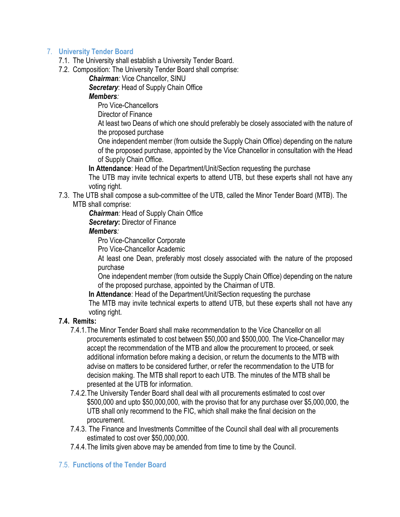## 7. University Tender Board

- 7.1. The University shall establish a University Tender Board.
- 7.2. Composition: The University Tender Board shall comprise:

Chairman: Vice Chancellor, SINU

Secretary: Head of Supply Chain Office

### Members:

Pro Vice-Chancellors

Director of Finance

At least two Deans of which one should preferably be closely associated with the nature of the proposed purchase

One independent member (from outside the Supply Chain Office) depending on the nature of the proposed purchase, appointed by the Vice Chancellor in consultation with the Head of Supply Chain Office.

In Attendance: Head of the Department/Unit/Section requesting the purchase

The UTB may invite technical experts to attend UTB, but these experts shall not have any voting right.

7.3. The UTB shall compose a sub-committee of the UTB, called the Minor Tender Board (MTB). The MTB shall comprise:

**Chairman:** Head of Supply Chain Office

Secretary: Director of Finance

## Members:

Pro Vice-Chancellor Corporate

Pro Vice-Chancellor Academic

At least one Dean, preferably most closely associated with the nature of the proposed purchase

One independent member (from outside the Supply Chain Office) depending on the nature of the proposed purchase, appointed by the Chairman of UTB.

In Attendance: Head of the Department/Unit/Section requesting the purchase

The MTB may invite technical experts to attend UTB, but these experts shall not have any voting right.

# 7.4. Remits:

- 7.4.1.The Minor Tender Board shall make recommendation to the Vice Chancellor on all procurements estimated to cost between \$50,000 and \$500,000. The Vice-Chancellor may accept the recommendation of the MTB and allow the procurement to proceed, or seek additional information before making a decision, or return the documents to the MTB with advise on matters to be considered further, or refer the recommendation to the UTB for decision making. The MTB shall report to each UTB. The minutes of the MTB shall be presented at the UTB for information.
- 7.4.2.The University Tender Board shall deal with all procurements estimated to cost over \$500,000 and upto \$50,000,000, with the proviso that for any purchase over \$5,000,000, the UTB shall only recommend to the FIC, which shall make the final decision on the procurement.
- 7.4.3. The Finance and Investments Committee of the Council shall deal with all procurements estimated to cost over \$50,000,000.
- 7.4.4.The limits given above may be amended from time to time by the Council.

#### 7.5. Functions of the Tender Board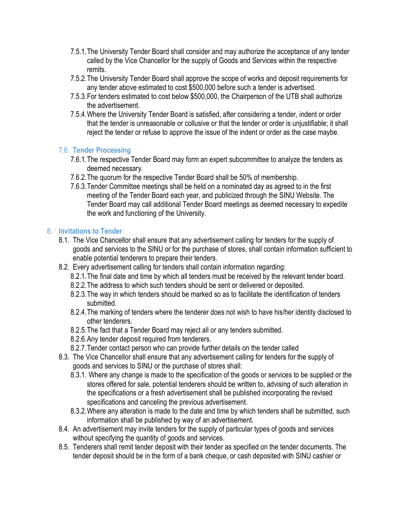- 7.5.1.The University Tender Board shall consider and may authorize the acceptance of any tender called by the Vice Chancellor for the supply of Goods and Services within the respective remits.
- 7.5.2.The University Tender Board shall approve the scope of works and deposit requirements for any tender above estimated to cost \$500,000 before such a tender is advertised.
- 7.5.3.For tenders estimated to cost below \$500,000, the Chairperson of the UTB shall authorize the advertisement.
- 7.5.4.Where the University Tender Board is satisfied, after considering a tender, indent or order that the tender is unreasonable or collusive or that the tender or order is unjustifiable; it shall reject the tender or refuse to approve the issue of the indent or order as the case maybe.

## 7.6. Tender Processing

- 7.6.1.The respective Tender Board may form an expert subcommittee to analyze the tenders as deemed necessary.
- 7.6.2.The quorum for the respective Tender Board shall be 50% of membership.
- 7.6.3.Tender Committee meetings shall be held on a nominated day as agreed to in the first meeting of the Tender Board each year, and publicized through the SINU Website. The Tender Board may call additional Tender Board meetings as deemed necessary to expedite the work and functioning of the University.

## 8. Invitations to Tender

- 8.1. The Vice Chancellor shall ensure that any advertisement calling for tenders for the supply of goods and services to the SINU or for the purchase of stores, shall contain information sufficient to enable potential tenderers to prepare their tenders.
- 8.2. Every advertisement calling for tenders shall contain information regarding:
	- 8.2.1.The final date and time by which all tenders must be received by the relevant tender board.
	- 8.2.2.The address to which such tenders should be sent or delivered or deposited.
	- 8.2.3.The way in which tenders should be marked so as to facilitate the identification of tenders submitted.
	- 8.2.4.The marking of tenders where the tenderer does not wish to have his/her identity disclosed to other tenderers.
	- 8.2.5.The fact that a Tender Board may reject all or any tenders submitted.
	- 8.2.6.Any tender deposit required from tenderers.
	- 8.2.7.Tender contact person who can provide further details on the tender called
- 8.3. The Vice Chancellor shall ensure that any advertisement calling for tenders for the supply of goods and services to SINU or the purchase of stores shall:
	- 8.3.1. Where any change is made to the specification of the goods or services to be supplied or the stores offered for sale, potential tenderers should be written to, advising of such alteration in the specifications or a fresh advertisement shall be published incorporating the revised specifications and canceling the previous advertisement.
	- 8.3.2.Where any alteration is made to the date and time by which tenders shall be submitted, such information shall be published by way of an advertisement.
- 8.4. An advertisement may invite tenders for the supply of particular types of goods and services without specifying the quantity of goods and services.
- 8.5. Tenderers shall remit tender deposit with their tender as specified on the tender documents. The tender deposit should be in the form of a bank cheque, or cash deposited with SINU cashier or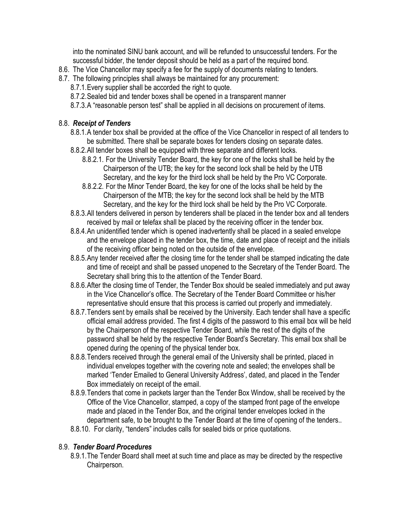into the nominated SINU bank account, and will be refunded to unsuccessful tenders. For the successful bidder, the tender deposit should be held as a part of the required bond.

- 8.6. The Vice Chancellor may specify a fee for the supply of documents relating to tenders.
- 8.7. The following principles shall always be maintained for any procurement:
	- 8.7.1.Every supplier shall be accorded the right to quote.
	- 8.7.2.Sealed bid and tender boxes shall be opened in a transparent manner
	- 8.7.3.A "reasonable person test" shall be applied in all decisions on procurement of items.

## 8.8. Receipt of Tenders

- 8.8.1.A tender box shall be provided at the office of the Vice Chancellor in respect of all tenders to be submitted. There shall be separate boxes for tenders closing on separate dates.
- 8.8.2.All tender boxes shall be equipped with three separate and different locks.
	- 8.8.2.1. For the University Tender Board, the key for one of the locks shall be held by the Chairperson of the UTB; the key for the second lock shall be held by the UTB Secretary, and the key for the third lock shall be held by the Pro VC Corporate.
	- 8.8.2.2. For the Minor Tender Board, the key for one of the locks shall be held by the Chairperson of the MTB; the key for the second lock shall be held by the MTB Secretary, and the key for the third lock shall be held by the Pro VC Corporate.
- 8.8.3.All tenders delivered in person by tenderers shall be placed in the tender box and all tenders received by mail or telefax shall be placed by the receiving officer in the tender box.
- 8.8.4.An unidentified tender which is opened inadvertently shall be placed in a sealed envelope and the envelope placed in the tender box, the time, date and place of receipt and the initials of the receiving officer being noted on the outside of the envelope.
- 8.8.5.Any tender received after the closing time for the tender shall be stamped indicating the date and time of receipt and shall be passed unopened to the Secretary of the Tender Board. The Secretary shall bring this to the attention of the Tender Board.
- 8.8.6.After the closing time of Tender, the Tender Box should be sealed immediately and put away in the Vice Chancellor's office. The Secretary of the Tender Board Committee or his/her representative should ensure that this process is carried out properly and immediately.
- 8.8.7.Tenders sent by emails shall be received by the University. Each tender shall have a specific official email address provided. The first 4 digits of the password to this email box will be held by the Chairperson of the respective Tender Board, while the rest of the digits of the password shall be held by the respective Tender Board's Secretary. This email box shall be opened during the opening of the physical tender box.
- 8.8.8.Tenders received through the general email of the University shall be printed, placed in individual envelopes together with the covering note and sealed; the envelopes shall be marked 'Tender Emailed to General University Address', dated, and placed in the Tender Box immediately on receipt of the email.
- 8.8.9.Tenders that come in packets larger than the Tender Box Window, shall be received by the Office of the Vice Chancellor, stamped, a copy of the stamped front page of the envelope made and placed in the Tender Box, and the original tender envelopes locked in the department safe, to be brought to the Tender Board at the time of opening of the tenders..
- 8.8.10. For clarity, "tenders" includes calls for sealed bids or price quotations.

## 8.9. Tender Board Procedures

8.9.1.The Tender Board shall meet at such time and place as may be directed by the respective Chairperson.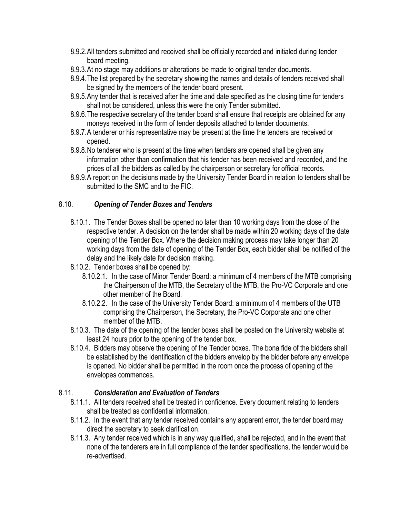- 8.9.2.All tenders submitted and received shall be officially recorded and initialed during tender board meeting.
- 8.9.3.At no stage may additions or alterations be made to original tender documents.
- 8.9.4.The list prepared by the secretary showing the names and details of tenders received shall be signed by the members of the tender board present.
- 8.9.5.Any tender that is received after the time and date specified as the closing time for tenders shall not be considered, unless this were the only Tender submitted.
- 8.9.6.The respective secretary of the tender board shall ensure that receipts are obtained for any moneys received in the form of tender deposits attached to tender documents.
- 8.9.7.A tenderer or his representative may be present at the time the tenders are received or opened.
- 8.9.8.No tenderer who is present at the time when tenders are opened shall be given any information other than confirmation that his tender has been received and recorded, and the prices of all the bidders as called by the chairperson or secretary for official records.
- 8.9.9.A report on the decisions made by the University Tender Board in relation to tenders shall be submitted to the SMC and to the FIC.

## 8.10. Opening of Tender Boxes and Tenders

- 8.10.1. The Tender Boxes shall be opened no later than 10 working days from the close of the respective tender. A decision on the tender shall be made within 20 working days of the date opening of the Tender Box. Where the decision making process may take longer than 20 working days from the date of opening of the Tender Box, each bidder shall be notified of the delay and the likely date for decision making.
- 8.10.2. Tender boxes shall be opened by:
	- 8.10.2.1. In the case of Minor Tender Board: a minimum of 4 members of the MTB comprising the Chairperson of the MTB, the Secretary of the MTB, the Pro-VC Corporate and one other member of the Board.
	- 8.10.2.2. In the case of the University Tender Board: a minimum of 4 members of the UTB comprising the Chairperson, the Secretary, the Pro-VC Corporate and one other member of the MTB.
- 8.10.3. The date of the opening of the tender boxes shall be posted on the University website at least 24 hours prior to the opening of the tender box.
- 8.10.4. Bidders may observe the opening of the Tender boxes. The bona fide of the bidders shall be established by the identification of the bidders envelop by the bidder before any envelope is opened. No bidder shall be permitted in the room once the process of opening of the envelopes commences.

## 8.11. Consideration and Evaluation of Tenders

- 8.11.1. All tenders received shall be treated in confidence. Every document relating to tenders shall be treated as confidential information.
- 8.11.2. In the event that any tender received contains any apparent error, the tender board may direct the secretary to seek clarification.
- 8.11.3. Any tender received which is in any way qualified, shall be rejected, and in the event that none of the tenderers are in full compliance of the tender specifications, the tender would be re-advertised.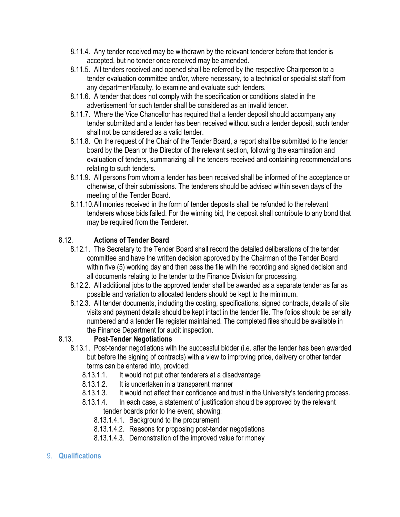- 8.11.4. Any tender received may be withdrawn by the relevant tenderer before that tender is accepted, but no tender once received may be amended.
- 8.11.5. All tenders received and opened shall be referred by the respective Chairperson to a tender evaluation committee and/or, where necessary, to a technical or specialist staff from any department/faculty, to examine and evaluate such tenders.
- 8.11.6. A tender that does not comply with the specification or conditions stated in the advertisement for such tender shall be considered as an invalid tender.
- 8.11.7. Where the Vice Chancellor has required that a tender deposit should accompany any tender submitted and a tender has been received without such a tender deposit, such tender shall not be considered as a valid tender.
- 8.11.8. On the request of the Chair of the Tender Board, a report shall be submitted to the tender board by the Dean or the Director of the relevant section, following the examination and evaluation of tenders, summarizing all the tenders received and containing recommendations relating to such tenders.
- 8.11.9. All persons from whom a tender has been received shall be informed of the acceptance or otherwise, of their submissions. The tenderers should be advised within seven days of the meeting of the Tender Board.
- 8.11.10.All monies received in the form of tender deposits shall be refunded to the relevant tenderers whose bids failed. For the winning bid, the deposit shall contribute to any bond that may be required from the Tenderer.

# 8.12. Actions of Tender Board

- 8.12.1. The Secretary to the Tender Board shall record the detailed deliberations of the tender committee and have the written decision approved by the Chairman of the Tender Board within five (5) working day and then pass the file with the recording and signed decision and all documents relating to the tender to the Finance Division for processing.
- 8.12.2. All additional jobs to the approved tender shall be awarded as a separate tender as far as possible and variation to allocated tenders should be kept to the minimum.
- 8.12.3. All tender documents, including the costing, specifications, signed contracts, details of site visits and payment details should be kept intact in the tender file. The folios should be serially numbered and a tender file register maintained. The completed files should be available in the Finance Department for audit inspection.

# 8.13. Post-Tender Negotiations

- 8.13.1. Post-tender negotiations with the successful bidder (i.e. after the tender has been awarded but before the signing of contracts) with a view to improving price, delivery or other tender terms can be entered into, provided:
	- 8.13.1.1. It would not put other tenderers at a disadvantage
	- 8.13.1.2. It is undertaken in a transparent manner
	- 8.13.1.3. It would not affect their confidence and trust in the University's tendering process.
	- 8.13.1.4. In each case, a statement of justification should be approved by the relevant tender boards prior to the event, showing:
		- 8.13.1.4.1. Background to the procurement
		- 8.13.1.4.2. Reasons for proposing post-tender negotiations
		- 8.13.1.4.3. Demonstration of the improved value for money
- 9. Qualifications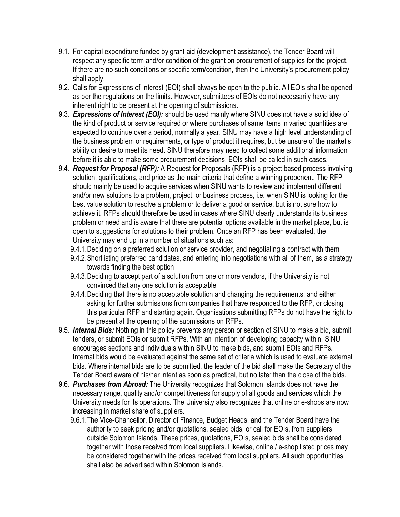- 9.1. For capital expenditure funded by grant aid (development assistance), the Tender Board will respect any specific term and/or condition of the grant on procurement of supplies for the project. If there are no such conditions or specific term/condition, then the University's procurement policy shall apply.
- 9.2. Calls for Expressions of Interest (EOI) shall always be open to the public. All EOIs shall be opened as per the regulations on the limits. However, submittees of EOIs do not necessarily have any inherent right to be present at the opening of submissions.
- 9.3. Expressions of Interest (EOI): should be used mainly where SINU does not have a solid idea of the kind of product or service required or where purchases of same items in varied quantities are expected to continue over a period, normally a year. SINU may have a high level understanding of the business problem or requirements, or type of product it requires, but be unsure of the market's ability or desire to meet its need. SINU therefore may need to collect some additional information before it is able to make some procurement decisions. EOIs shall be called in such cases.
- 9.4. Request for Proposal (RFP): A Request for Proposals (RFP) is a project based process involving solution, qualifications, and price as the main criteria that define a winning proponent. The RFP should mainly be used to acquire services when SINU wants to review and implement different and/or new solutions to a problem, project, or business process, i.e. when SINU is looking for the best value solution to resolve a problem or to deliver a good or service, but is not sure how to achieve it. RFPs should therefore be used in cases where SINU clearly understands its business problem or need and is aware that there are potential options available in the market place, but is open to suggestions for solutions to their problem. Once an RFP has been evaluated, the University may end up in a number of situations such as:
	- 9.4.1.Deciding on a preferred solution or service provider, and negotiating a contract with them
	- 9.4.2.Shortlisting preferred candidates, and entering into negotiations with all of them, as a strategy towards finding the best option
	- 9.4.3.Deciding to accept part of a solution from one or more vendors, if the University is not convinced that any one solution is acceptable
	- 9.4.4.Deciding that there is no acceptable solution and changing the requirements, and either asking for further submissions from companies that have responded to the RFP, or closing this particular RFP and starting again. Organisations submitting RFPs do not have the right to be present at the opening of the submissions on RFPs.
- 9.5. Internal Bids: Nothing in this policy prevents any person or section of SINU to make a bid, submit tenders, or submit EOIs or submit RFPs. With an intention of developing capacity within, SINU encourages sections and individuals within SINU to make bids, and submit EOIs and RFPs. Internal bids would be evaluated against the same set of criteria which is used to evaluate external bids. Where internal bids are to be submitted, the leader of the bid shall make the Secretary of the Tender Board aware of his/her intent as soon as practical, but no later than the close of the bids.
- 9.6. Purchases from Abroad: The University recognizes that Solomon Islands does not have the necessary range, quality and/or competitiveness for supply of all goods and services which the University needs for its operations. The University also recognizes that online or e-shops are now increasing in market share of suppliers.
	- 9.6.1.The Vice-Chancellor, Director of Finance, Budget Heads, and the Tender Board have the authority to seek pricing and/or quotations, sealed bids, or call for EOIs, from suppliers outside Solomon Islands. These prices, quotations, EOIs, sealed bids shall be considered together with those received from local suppliers. Likewise, online / e-shop listed prices may be considered together with the prices received from local suppliers. All such opportunities shall also be advertised within Solomon Islands.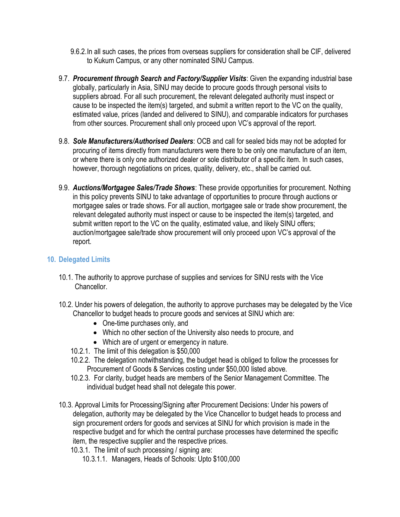- 9.6.2.In all such cases, the prices from overseas suppliers for consideration shall be CIF, delivered to Kukum Campus, or any other nominated SINU Campus.
- 9.7. Procurement through Search and Factory/Supplier Visits: Given the expanding industrial base globally, particularly in Asia, SINU may decide to procure goods through personal visits to suppliers abroad. For all such procurement, the relevant delegated authority must inspect or cause to be inspected the item(s) targeted, and submit a written report to the VC on the quality, estimated value, prices (landed and delivered to SINU), and comparable indicators for purchases from other sources. Procurement shall only proceed upon VC's approval of the report.
- 9.8. Sole Manufacturers/Authorised Dealers: OCB and call for sealed bids may not be adopted for procuring of items directly from manufacturers were there to be only one manufacture of an item, or where there is only one authorized dealer or sole distributor of a specific item. In such cases, however, thorough negotiations on prices, quality, delivery, etc., shall be carried out.
- 9.9. Auctions/Mortgagee Sales/Trade Shows: These provide opportunities for procurement. Nothing in this policy prevents SINU to take advantage of opportunities to procure through auctions or mortgagee sales or trade shows. For all auction, mortgagee sale or trade show procurement, the relevant delegated authority must inspect or cause to be inspected the item(s) targeted, and submit written report to the VC on the quality, estimated value, and likely SINU offers; auction/mortgagee sale/trade show procurement will only proceed upon VC's approval of the report.

#### 10. Delegated Limits

- 10.1. The authority to approve purchase of supplies and services for SINU rests with the Vice Chancellor.
- 10.2. Under his powers of delegation, the authority to approve purchases may be delegated by the Vice Chancellor to budget heads to procure goods and services at SINU which are:
	- One-time purchases only, and
	- Which no other section of the University also needs to procure, and
	- Which are of urgent or emergency in nature.
	- 10.2.1. The limit of this delegation is \$50,000
	- 10.2.2. The delegation notwithstanding, the budget head is obliged to follow the processes for Procurement of Goods & Services costing under \$50,000 listed above.
	- 10.2.3. For clarity, budget heads are members of the Senior Management Committee. The individual budget head shall not delegate this power.
- 10.3. Approval Limits for Processing/Signing after Procurement Decisions: Under his powers of delegation, authority may be delegated by the Vice Chancellor to budget heads to process and sign procurement orders for goods and services at SINU for which provision is made in the respective budget and for which the central purchase processes have determined the specific item, the respective supplier and the respective prices.
	- 10.3.1. The limit of such processing / signing are:
		- 10.3.1.1. Managers, Heads of Schools: Upto \$100,000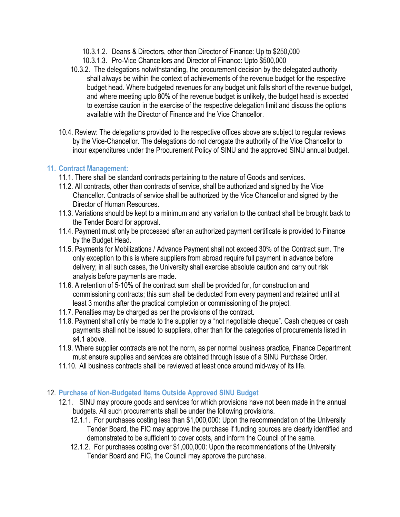- 10.3.1.2. Deans & Directors, other than Director of Finance: Up to \$250,000
- 10.3.1.3. Pro-Vice Chancellors and Director of Finance: Upto \$500,000
- 10.3.2. The delegations notwithstanding, the procurement decision by the delegated authority shall always be within the context of achievements of the revenue budget for the respective budget head. Where budgeted revenues for any budget unit falls short of the revenue budget, and where meeting upto 80% of the revenue budget is unlikely, the budget head is expected to exercise caution in the exercise of the respective delegation limit and discuss the options available with the Director of Finance and the Vice Chancellor.
- 10.4. Review: The delegations provided to the respective offices above are subject to regular reviews by the Vice-Chancellor. The delegations do not derogate the authority of the Vice Chancellor to incur expenditures under the Procurement Policy of SINU and the approved SINU annual budget.

## 11. Contract Management:

- 11.1. There shall be standard contracts pertaining to the nature of Goods and services.
- 11.2. All contracts, other than contracts of service, shall be authorized and signed by the Vice Chancellor. Contracts of service shall be authorized by the Vice Chancellor and signed by the Director of Human Resources.
- 11.3. Variations should be kept to a minimum and any variation to the contract shall be brought back to the Tender Board for approval.
- 11.4. Payment must only be processed after an authorized payment certificate is provided to Finance by the Budget Head.
- 11.5. Payments for Mobilizations / Advance Payment shall not exceed 30% of the Contract sum. The only exception to this is where suppliers from abroad require full payment in advance before delivery; in all such cases, the University shall exercise absolute caution and carry out risk analysis before payments are made.
- 11.6. A retention of 5-10% of the contract sum shall be provided for, for construction and commissioning contracts; this sum shall be deducted from every payment and retained until at least 3 months after the practical completion or commissioning of the project.
- 11.7. Penalties may be charged as per the provisions of the contract.
- 11.8. Payment shall only be made to the supplier by a "not negotiable cheque". Cash cheques or cash payments shall not be issued to suppliers, other than for the categories of procurements listed in s4.1 above.
- 11.9. Where supplier contracts are not the norm, as per normal business practice, Finance Department must ensure supplies and services are obtained through issue of a SINU Purchase Order.
- 11.10. All business contracts shall be reviewed at least once around mid-way of its life.

## 12. Purchase of Non-Budgeted Items Outside Approved SINU Budget

- 12.1. SINU may procure goods and services for which provisions have not been made in the annual budgets. All such procurements shall be under the following provisions.
	- 12.1.1. For purchases costing less than \$1,000,000: Upon the recommendation of the University Tender Board, the FIC may approve the purchase if funding sources are clearly identified and demonstrated to be sufficient to cover costs, and inform the Council of the same.
	- 12.1.2. For purchases costing over \$1,000,000: Upon the recommendations of the University Tender Board and FIC, the Council may approve the purchase.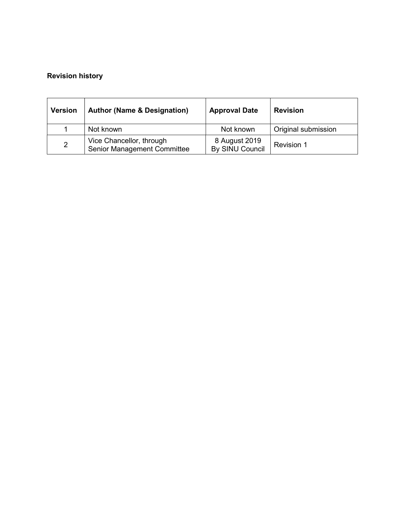# Revision history

| <b>Version</b> | <b>Author (Name &amp; Designation)</b>                         | <b>Approval Date</b>             | <b>Revision</b>     |
|----------------|----------------------------------------------------------------|----------------------------------|---------------------|
|                | Not known                                                      | Not known                        | Original submission |
| $\overline{2}$ | Vice Chancellor, through<br><b>Senior Management Committee</b> | 8 August 2019<br>By SINU Council | Revision 1          |